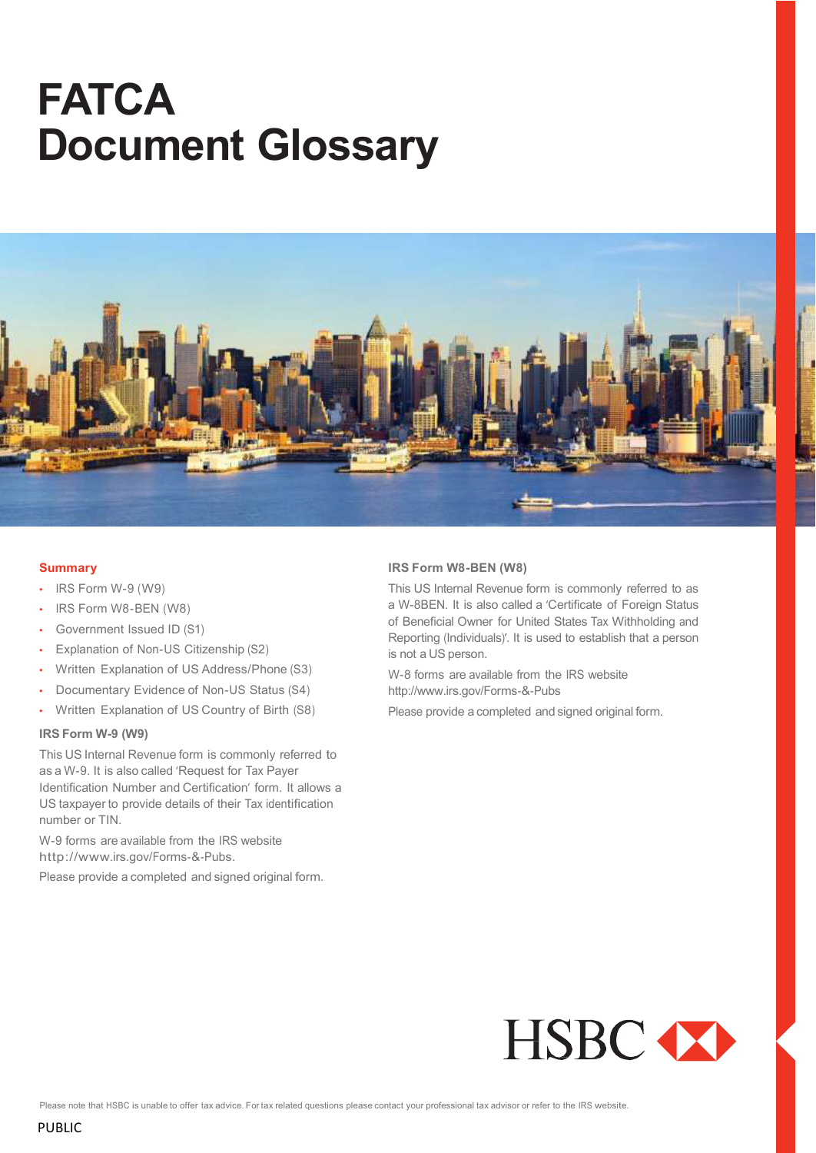# **FATCA Document Glossary**



#### **Summary**

- IRS Form W-9 (W9)
- IRS Form W8-BEN (W8)
- Government Issued ID (S1)
- Explanation of Non-US Citizenship (S2)
- Written Explanation of US Address/Phone (S3)
- Documentary Evidence of Non-US Status (S4)
- Written Explanation of US Country of Birth (S8)

## **IRS Form W-9 (W9)**

This US Internal Revenue form is commonly referred to as a W-9. It is also called 'Request for Tax Payer Identification Number and Certification' form. It allows a US taxpayer to provide details of their Tax identification number or TIN.

W-9 forms are available from the IRS website [http://www.irs.gov/Forms-&](http://www.irs.gov/Forms-%26-Pubs)-Pubs.

Please provide a completed and signed original form.

#### **IRS Form W8-BEN (W8)**

This US Internal Revenue form is commonly referred to as a W-8BEN. It is also called a 'Certificate of Foreign Status of Beneficial Owner for United States Tax Withholding and Reporting (Individuals)'. It is used to establish that a person is not a US person.

W-8 forms are available from the IRS website http://www.irs.gov/Forms-&-Pubs

Please provide a completed and signed original form.



Please note that HSBC is unable to offer tax advice. For tax related questions please contact your professional tax advisor or refer to the IRS website.